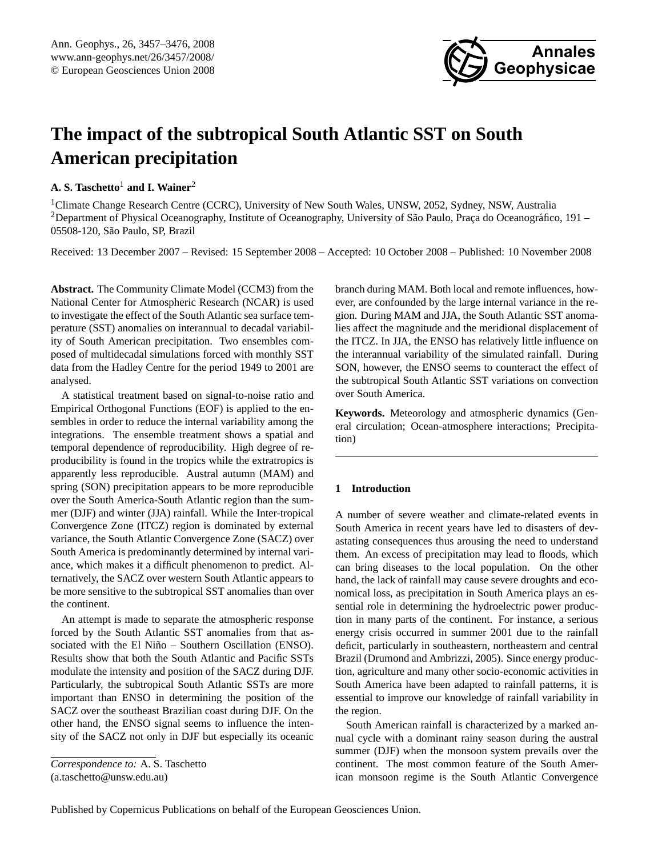

# <span id="page-0-0"></span>**The impact of the subtropical South Atlantic SST on South American precipitation**

# **A. S. Taschetto**<sup>1</sup> **and I. Wainer**<sup>2</sup>

<sup>1</sup>Climate Change Research Centre (CCRC), University of New South Wales, UNSW, 2052, Sydney, NSW, Australia <sup>2</sup>Department of Physical Oceanography, Institute of Oceanography, University of São Paulo, Praça do Oceanográfico, 191 – 05508-120, São Paulo, SP, Brazil

Received: 13 December 2007 – Revised: 15 September 2008 – Accepted: 10 October 2008 – Published: 10 November 2008

**Abstract.** The Community Climate Model (CCM3) from the National Center for Atmospheric Research (NCAR) is used to investigate the effect of the South Atlantic sea surface temperature (SST) anomalies on interannual to decadal variability of South American precipitation. Two ensembles composed of multidecadal simulations forced with monthly SST data from the Hadley Centre for the period 1949 to 2001 are analysed.

A statistical treatment based on signal-to-noise ratio and Empirical Orthogonal Functions (EOF) is applied to the ensembles in order to reduce the internal variability among the integrations. The ensemble treatment shows a spatial and temporal dependence of reproducibility. High degree of reproducibility is found in the tropics while the extratropics is apparently less reproducible. Austral autumn (MAM) and spring (SON) precipitation appears to be more reproducible over the South America-South Atlantic region than the summer (DJF) and winter (JJA) rainfall. While the Inter-tropical Convergence Zone (ITCZ) region is dominated by external variance, the South Atlantic Convergence Zone (SACZ) over South America is predominantly determined by internal variance, which makes it a difficult phenomenon to predict. Alternatively, the SACZ over western South Atlantic appears to be more sensitive to the subtropical SST anomalies than over the continent.

An attempt is made to separate the atmospheric response forced by the South Atlantic SST anomalies from that associated with the El Niño – Southern Oscillation (ENSO). Results show that both the South Atlantic and Pacific SSTs modulate the intensity and position of the SACZ during DJF. Particularly, the subtropical South Atlantic SSTs are more important than ENSO in determining the position of the SACZ over the southeast Brazilian coast during DJF. On the other hand, the ENSO signal seems to influence the intensity of the SACZ not only in DJF but especially its oceanic branch during MAM. Both local and remote influences, however, are confounded by the large internal variance in the region. During MAM and JJA, the South Atlantic SST anomalies affect the magnitude and the meridional displacement of the ITCZ. In JJA, the ENSO has relatively little influence on the interannual variability of the simulated rainfall. During SON, however, the ENSO seems to counteract the effect of the subtropical South Atlantic SST variations on convection over South America.

**Keywords.** Meteorology and atmospheric dynamics (General circulation; Ocean-atmosphere interactions; Precipitation)

# **1 Introduction**

A number of severe weather and climate-related events in South America in recent years have led to disasters of devastating consequences thus arousing the need to understand them. An excess of precipitation may lead to floods, which can bring diseases to the local population. On the other hand, the lack of rainfall may cause severe droughts and economical loss, as precipitation in South America plays an essential role in determining the hydroelectric power production in many parts of the continent. For instance, a serious energy crisis occurred in summer 2001 due to the rainfall deficit, particularly in southeastern, northeastern and central Brazil (Drumond and Ambrizzi, 2005). Since energy production, agriculture and many other socio-economic activities in South America have been adapted to rainfall patterns, it is essential to improve our knowledge of rainfall variability in the region.

South American rainfall is characterized by a marked annual cycle with a dominant rainy season during the austral summer (DJF) when the monsoon system prevails over the continent. The most common feature of the South American monsoon regime is the South Atlantic Convergence

*Correspondence to:* A. S. Taschetto (a.taschetto@unsw.edu.au)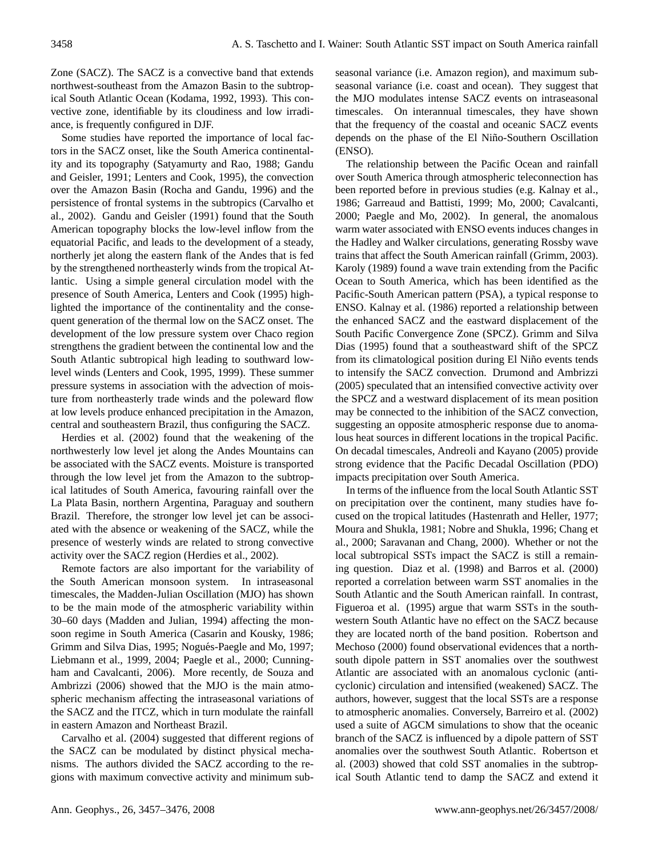Zone (SACZ). The SACZ is a convective band that extends northwest-southeast from the Amazon Basin to the subtropical South Atlantic Ocean (Kodama, 1992, 1993). This convective zone, identifiable by its cloudiness and low irradiance, is frequently configured in DJF.

Some studies have reported the importance of local factors in the SACZ onset, like the South America continentality and its topography (Satyamurty and Rao, 1988; Gandu and Geisler, 1991; Lenters and Cook, 1995), the convection over the Amazon Basin (Rocha and Gandu, 1996) and the persistence of frontal systems in the subtropics (Carvalho et al., 2002). Gandu and Geisler (1991) found that the South American topography blocks the low-level inflow from the equatorial Pacific, and leads to the development of a steady, northerly jet along the eastern flank of the Andes that is fed by the strengthened northeasterly winds from the tropical Atlantic. Using a simple general circulation model with the presence of South America, Lenters and Cook (1995) highlighted the importance of the continentality and the consequent generation of the thermal low on the SACZ onset. The development of the low pressure system over Chaco region strengthens the gradient between the continental low and the South Atlantic subtropical high leading to southward lowlevel winds (Lenters and Cook, 1995, 1999). These summer pressure systems in association with the advection of moisture from northeasterly trade winds and the poleward flow at low levels produce enhanced precipitation in the Amazon, central and southeastern Brazil, thus configuring the SACZ.

Herdies et al. (2002) found that the weakening of the northwesterly low level jet along the Andes Mountains can be associated with the SACZ events. Moisture is transported through the low level jet from the Amazon to the subtropical latitudes of South America, favouring rainfall over the La Plata Basin, northern Argentina, Paraguay and southern Brazil. Therefore, the stronger low level jet can be associated with the absence or weakening of the SACZ, while the presence of westerly winds are related to strong convective activity over the SACZ region (Herdies et al., 2002).

Remote factors are also important for the variability of the South American monsoon system. In intraseasonal timescales, the Madden-Julian Oscillation (MJO) has shown to be the main mode of the atmospheric variability within 30–60 days (Madden and Julian, 1994) affecting the monsoon regime in South America (Casarin and Kousky, 1986; Grimm and Silva Dias, 1995; Nogués-Paegle and Mo, 1997; Liebmann et al., 1999, 2004; Paegle et al., 2000; Cunningham and Cavalcanti, 2006). More recently, de Souza and Ambrizzi (2006) showed that the MJO is the main atmospheric mechanism affecting the intraseasonal variations of the SACZ and the ITCZ, which in turn modulate the rainfall in eastern Amazon and Northeast Brazil.

Carvalho et al. (2004) suggested that different regions of the SACZ can be modulated by distinct physical mechanisms. The authors divided the SACZ according to the regions with maximum convective activity and minimum subseasonal variance (i.e. Amazon region), and maximum subseasonal variance (i.e. coast and ocean). They suggest that the MJO modulates intense SACZ events on intraseasonal timescales. On interannual timescales, they have shown that the frequency of the coastal and oceanic SACZ events depends on the phase of the El Niño-Southern Oscillation (ENSO).

The relationship between the Pacific Ocean and rainfall over South America through atmospheric teleconnection has been reported before in previous studies (e.g. Kalnay et al., 1986; Garreaud and Battisti, 1999; Mo, 2000; Cavalcanti, 2000; Paegle and Mo, 2002). In general, the anomalous warm water associated with ENSO events induces changes in the Hadley and Walker circulations, generating Rossby wave trains that affect the South American rainfall (Grimm, 2003). Karoly (1989) found a wave train extending from the Pacific Ocean to South America, which has been identified as the Pacific-South American pattern (PSA), a typical response to ENSO. Kalnay et al. (1986) reported a relationship between the enhanced SACZ and the eastward displacement of the South Pacific Convergence Zone (SPCZ). Grimm and Silva Dias (1995) found that a southeastward shift of the SPCZ from its climatological position during El Niño events tends to intensify the SACZ convection. Drumond and Ambrizzi (2005) speculated that an intensified convective activity over the SPCZ and a westward displacement of its mean position may be connected to the inhibition of the SACZ convection, suggesting an opposite atmospheric response due to anomalous heat sources in different locations in the tropical Pacific. On decadal timescales, Andreoli and Kayano (2005) provide strong evidence that the Pacific Decadal Oscillation (PDO) impacts precipitation over South America.

In terms of the influence from the local South Atlantic SST on precipitation over the continent, many studies have focused on the tropical latitudes (Hastenrath and Heller, 1977; Moura and Shukla, 1981; Nobre and Shukla, 1996; Chang et al., 2000; Saravanan and Chang, 2000). Whether or not the local subtropical SSTs impact the SACZ is still a remaining question. Diaz et al. (1998) and Barros et al. (2000) reported a correlation between warm SST anomalies in the South Atlantic and the South American rainfall. In contrast, Figueroa et al. (1995) argue that warm SSTs in the southwestern South Atlantic have no effect on the SACZ because they are located north of the band position. Robertson and Mechoso (2000) found observational evidences that a northsouth dipole pattern in SST anomalies over the southwest Atlantic are associated with an anomalous cyclonic (anticyclonic) circulation and intensified (weakened) SACZ. The authors, however, suggest that the local SSTs are a response to atmospheric anomalies. Conversely, Barreiro et al. (2002) used a suite of AGCM simulations to show that the oceanic branch of the SACZ is influenced by a dipole pattern of SST anomalies over the southwest South Atlantic. Robertson et al. (2003) showed that cold SST anomalies in the subtropical South Atlantic tend to damp the SACZ and extend it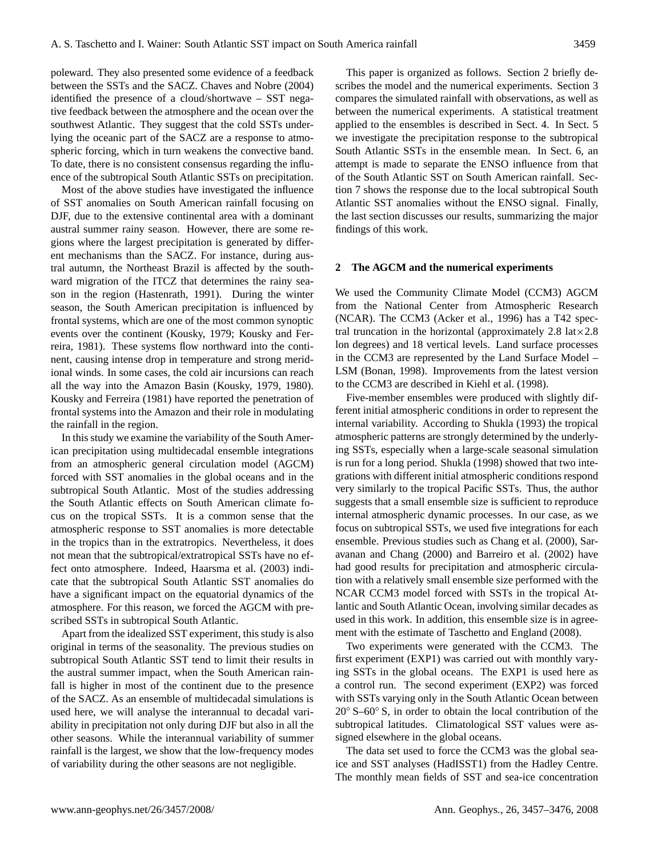poleward. They also presented some evidence of a feedback between the SSTs and the SACZ. Chaves and Nobre (2004) identified the presence of a cloud/shortwave – SST negative feedback between the atmosphere and the ocean over the southwest Atlantic. They suggest that the cold SSTs underlying the oceanic part of the SACZ are a response to atmospheric forcing, which in turn weakens the convective band. To date, there is no consistent consensus regarding the influence of the subtropical South Atlantic SSTs on precipitation.

Most of the above studies have investigated the influence of SST anomalies on South American rainfall focusing on DJF, due to the extensive continental area with a dominant austral summer rainy season. However, there are some regions where the largest precipitation is generated by different mechanisms than the SACZ. For instance, during austral autumn, the Northeast Brazil is affected by the southward migration of the ITCZ that determines the rainy season in the region (Hastenrath, 1991). During the winter season, the South American precipitation is influenced by frontal systems, which are one of the most common synoptic events over the continent (Kousky, 1979; Kousky and Ferreira, 1981). These systems flow northward into the continent, causing intense drop in temperature and strong meridional winds. In some cases, the cold air incursions can reach all the way into the Amazon Basin (Kousky, 1979, 1980). Kousky and Ferreira (1981) have reported the penetration of frontal systems into the Amazon and their role in modulating the rainfall in the region.

In this study we examine the variability of the South American precipitation using multidecadal ensemble integrations from an atmospheric general circulation model (AGCM) forced with SST anomalies in the global oceans and in the subtropical South Atlantic. Most of the studies addressing the South Atlantic effects on South American climate focus on the tropical SSTs. It is a common sense that the atmospheric response to SST anomalies is more detectable in the tropics than in the extratropics. Nevertheless, it does not mean that the subtropical/extratropical SSTs have no effect onto atmosphere. Indeed, Haarsma et al. (2003) indicate that the subtropical South Atlantic SST anomalies do have a significant impact on the equatorial dynamics of the atmosphere. For this reason, we forced the AGCM with prescribed SSTs in subtropical South Atlantic.

Apart from the idealized SST experiment, this study is also original in terms of the seasonality. The previous studies on subtropical South Atlantic SST tend to limit their results in the austral summer impact, when the South American rainfall is higher in most of the continent due to the presence of the SACZ. As an ensemble of multidecadal simulations is used here, we will analyse the interannual to decadal variability in precipitation not only during DJF but also in all the other seasons. While the interannual variability of summer rainfall is the largest, we show that the low-frequency modes of variability during the other seasons are not negligible.

This paper is organized as follows. Section 2 briefly describes the model and the numerical experiments. Section 3 compares the simulated rainfall with observations, as well as between the numerical experiments. A statistical treatment applied to the ensembles is described in Sect. 4. In Sect. 5 we investigate the precipitation response to the subtropical South Atlantic SSTs in the ensemble mean. In Sect. 6, an attempt is made to separate the ENSO influence from that of the South Atlantic SST on South American rainfall. Section 7 shows the response due to the local subtropical South Atlantic SST anomalies without the ENSO signal. Finally, the last section discusses our results, summarizing the major findings of this work.

#### **2 The AGCM and the numerical experiments**

We used the Community Climate Model (CCM3) AGCM from the National Center from Atmospheric Research (NCAR). The CCM3 (Acker et al., 1996) has a T42 spectral truncation in the horizontal (approximately  $2.8$  lat $\times 2.8$ lon degrees) and 18 vertical levels. Land surface processes in the CCM3 are represented by the Land Surface Model – LSM (Bonan, 1998). Improvements from the latest version to the CCM3 are described in Kiehl et al. (1998).

Five-member ensembles were produced with slightly different initial atmospheric conditions in order to represent the internal variability. According to Shukla (1993) the tropical atmospheric patterns are strongly determined by the underlying SSTs, especially when a large-scale seasonal simulation is run for a long period. Shukla (1998) showed that two integrations with different initial atmospheric conditions respond very similarly to the tropical Pacific SSTs. Thus, the author suggests that a small ensemble size is sufficient to reproduce internal atmospheric dynamic processes. In our case, as we focus on subtropical SSTs, we used five integrations for each ensemble. Previous studies such as Chang et al. (2000), Saravanan and Chang (2000) and Barreiro et al. (2002) have had good results for precipitation and atmospheric circulation with a relatively small ensemble size performed with the NCAR CCM3 model forced with SSTs in the tropical Atlantic and South Atlantic Ocean, involving similar decades as used in this work. In addition, this ensemble size is in agreement with the estimate of Taschetto and England (2008).

Two experiments were generated with the CCM3. The first experiment (EXP1) was carried out with monthly varying SSTs in the global oceans. The EXP1 is used here as a control run. The second experiment (EXP2) was forced with SSTs varying only in the South Atlantic Ocean between 20<sup>°</sup> S–60<sup>°</sup> S, in order to obtain the local contribution of the subtropical latitudes. Climatological SST values were assigned elsewhere in the global oceans.

The data set used to force the CCM3 was the global seaice and SST analyses (HadISST1) from the Hadley Centre. The monthly mean fields of SST and sea-ice concentration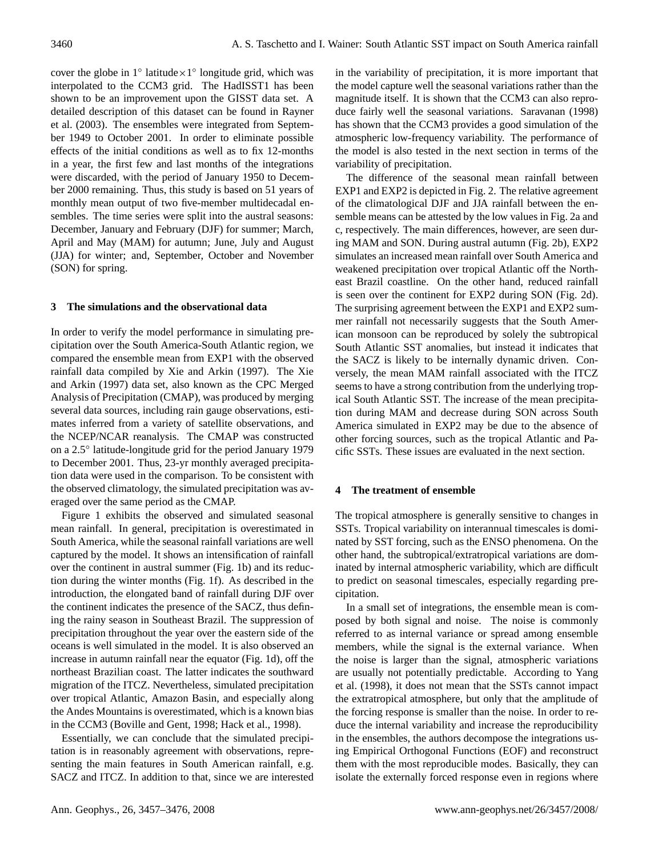cover the globe in  $1^\circ$  latitude  $\times 1^\circ$  longitude grid, which was interpolated to the CCM3 grid. The HadISST1 has been shown to be an improvement upon the GISST data set. A detailed description of this dataset can be found in Rayner et al. (2003). The ensembles were integrated from September 1949 to October 2001. In order to eliminate possible effects of the initial conditions as well as to fix 12-months in a year, the first few and last months of the integrations were discarded, with the period of January 1950 to December 2000 remaining. Thus, this study is based on 51 years of monthly mean output of two five-member multidecadal ensembles. The time series were split into the austral seasons: December, January and February (DJF) for summer; March, April and May (MAM) for autumn; June, July and August (JJA) for winter; and, September, October and November (SON) for spring.

# **3 The simulations and the observational data**

In order to verify the model performance in simulating precipitation over the South America-South Atlantic region, we compared the ensemble mean from EXP1 with the observed rainfall data compiled by Xie and Arkin (1997). The Xie and Arkin (1997) data set, also known as the CPC Merged Analysis of Precipitation (CMAP), was produced by merging several data sources, including rain gauge observations, estimates inferred from a variety of satellite observations, and the NCEP/NCAR reanalysis. The CMAP was constructed on a 2.5◦ latitude-longitude grid for the period January 1979 to December 2001. Thus, 23-yr monthly averaged precipitation data were used in the comparison. To be consistent with the observed climatology, the simulated precipitation was averaged over the same period as the CMAP.

Figure 1 exhibits the observed and simulated seasonal mean rainfall. In general, precipitation is overestimated in South America, while the seasonal rainfall variations are well captured by the model. It shows an intensification of rainfall over the continent in austral summer (Fig. 1b) and its reduction during the winter months (Fig. 1f). As described in the introduction, the elongated band of rainfall during DJF over the continent indicates the presence of the SACZ, thus defining the rainy season in Southeast Brazil. The suppression of precipitation throughout the year over the eastern side of the oceans is well simulated in the model. It is also observed an increase in autumn rainfall near the equator (Fig. 1d), off the northeast Brazilian coast. The latter indicates the southward migration of the ITCZ. Nevertheless, simulated precipitation over tropical Atlantic, Amazon Basin, and especially along the Andes Mountains is overestimated, which is a known bias in the CCM3 (Boville and Gent, 1998; Hack et al., 1998).

Essentially, we can conclude that the simulated precipitation is in reasonably agreement with observations, representing the main features in South American rainfall, e.g. SACZ and ITCZ. In addition to that, since we are interested in the variability of precipitation, it is more important that the model capture well the seasonal variations rather than the magnitude itself. It is shown that the CCM3 can also reproduce fairly well the seasonal variations. Saravanan (1998) has shown that the CCM3 provides a good simulation of the atmospheric low-frequency variability. The performance of the model is also tested in the next section in terms of the variability of precipitation.

The difference of the seasonal mean rainfall between EXP1 and EXP2 is depicted in Fig. 2. The relative agreement of the climatological DJF and JJA rainfall between the ensemble means can be attested by the low values in Fig. 2a and c, respectively. The main differences, however, are seen during MAM and SON. During austral autumn (Fig. 2b), EXP2 simulates an increased mean rainfall over South America and weakened precipitation over tropical Atlantic off the Northeast Brazil coastline. On the other hand, reduced rainfall is seen over the continent for EXP2 during SON (Fig. 2d). The surprising agreement between the EXP1 and EXP2 summer rainfall not necessarily suggests that the South American monsoon can be reproduced by solely the subtropical South Atlantic SST anomalies, but instead it indicates that the SACZ is likely to be internally dynamic driven. Conversely, the mean MAM rainfall associated with the ITCZ seems to have a strong contribution from the underlying tropical South Atlantic SST. The increase of the mean precipitation during MAM and decrease during SON across South America simulated in EXP2 may be due to the absence of other forcing sources, such as the tropical Atlantic and Pacific SSTs. These issues are evaluated in the next section.

## **4 The treatment of ensemble**

The tropical atmosphere is generally sensitive to changes in SSTs. Tropical variability on interannual timescales is dominated by SST forcing, such as the ENSO phenomena. On the other hand, the subtropical/extratropical variations are dominated by internal atmospheric variability, which are difficult to predict on seasonal timescales, especially regarding precipitation.

In a small set of integrations, the ensemble mean is composed by both signal and noise. The noise is commonly referred to as internal variance or spread among ensemble members, while the signal is the external variance. When the noise is larger than the signal, atmospheric variations are usually not potentially predictable. According to Yang et al. (1998), it does not mean that the SSTs cannot impact the extratropical atmosphere, but only that the amplitude of the forcing response is smaller than the noise. In order to reduce the internal variability and increase the reproducibility in the ensembles, the authors decompose the integrations using Empirical Orthogonal Functions (EOF) and reconstruct them with the most reproducible modes. Basically, they can isolate the externally forced response even in regions where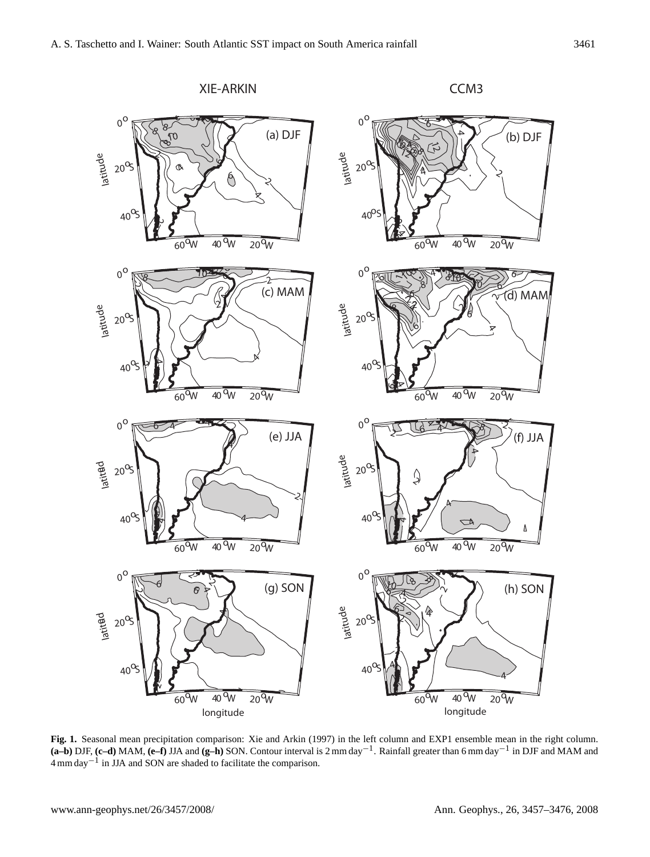

**Fig. 1.** Seasonal mean precipitation comparison: Xie and Arkin (1997) in the left column and EXP1 ensemble mean in the right column. **(a–b)** DJF, **(c–d)** MAM, **(e–f)** JJA and **(g–h)** SON. Contour interval is 2 mm day−<sup>1</sup> . Rainfall greater than 6 mm day−<sup>1</sup> in DJF and MAM and 4 mm day−<sup>1</sup> in JJA and SON are shaded to facilitate the comparison.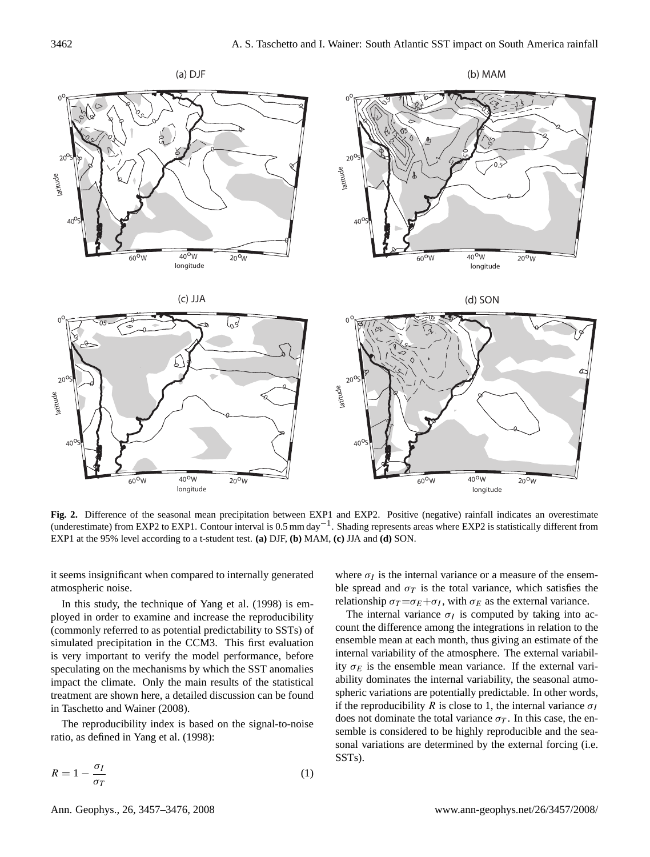

**Fig. 2.** Difference of the seasonal mean precipitation between EXP1 and EXP2. Positive (negative) rainfall indicates an overestimate (underestimate) from EXP2 to EXP1. Contour interval is 0.5 mm day−<sup>1</sup> . Shading represents areas where EXP2 is statistically different from EXP1 at the 95% level according to a t-student test. **(a)** DJF, **(b)** MAM, **(c)** JJA and **(d)** SON.

it seems insignificant when compared to internally generated atmospheric noise.

In this study, the technique of Yang et al. (1998) is employed in order to examine and increase the reproducibility (commonly referred to as potential predictability to SSTs) of simulated precipitation in the CCM3. This first evaluation is very important to verify the model performance, before speculating on the mechanisms by which the SST anomalies impact the climate. Only the main results of the statistical treatment are shown here, a detailed discussion can be found in Taschetto and Wainer (2008).

The reproducibility index is based on the signal-to-noise ratio, as defined in Yang et al. (1998):

$$
R = 1 - \frac{\sigma_I}{\sigma_T} \tag{1}
$$

where  $\sigma$ *I* is the internal variance or a measure of the ensemble spread and  $\sigma_T$  is the total variance, which satisfies the relationship  $\sigma_T = \sigma_E + \sigma_I$ , with  $\sigma_E$  as the external variance.

The internal variance  $\sigma_I$  is computed by taking into account the difference among the integrations in relation to the ensemble mean at each month, thus giving an estimate of the internal variability of the atmosphere. The external variability  $\sigma_E$  is the ensemble mean variance. If the external variability dominates the internal variability, the seasonal atmospheric variations are potentially predictable. In other words, if the reproducibility R is close to 1, the internal variance  $\sigma_I$ does not dominate the total variance  $\sigma_T$ . In this case, the ensemble is considered to be highly reproducible and the seasonal variations are determined by the external forcing (i.e. SSTs).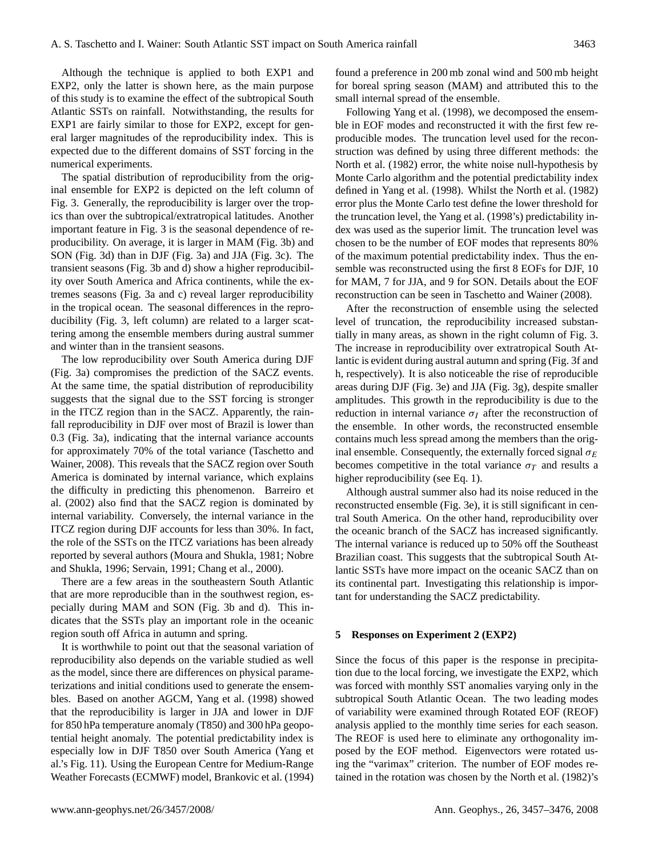Although the technique is applied to both EXP1 and EXP2, only the latter is shown here, as the main purpose of this study is to examine the effect of the subtropical South Atlantic SSTs on rainfall. Notwithstanding, the results for EXP1 are fairly similar to those for EXP2, except for general larger magnitudes of the reproducibility index. This is expected due to the different domains of SST forcing in the numerical experiments.

The spatial distribution of reproducibility from the original ensemble for EXP2 is depicted on the left column of Fig. 3. Generally, the reproducibility is larger over the tropics than over the subtropical/extratropical latitudes. Another important feature in Fig. 3 is the seasonal dependence of reproducibility. On average, it is larger in MAM (Fig. 3b) and SON (Fig. 3d) than in DJF (Fig. 3a) and JJA (Fig. 3c). The transient seasons (Fig. 3b and d) show a higher reproducibility over South America and Africa continents, while the extremes seasons (Fig. 3a and c) reveal larger reproducibility in the tropical ocean. The seasonal differences in the reproducibility (Fig. 3, left column) are related to a larger scattering among the ensemble members during austral summer and winter than in the transient seasons.

The low reproducibility over South America during DJF (Fig. 3a) compromises the prediction of the SACZ events. At the same time, the spatial distribution of reproducibility suggests that the signal due to the SST forcing is stronger in the ITCZ region than in the SACZ. Apparently, the rainfall reproducibility in DJF over most of Brazil is lower than 0.3 (Fig. 3a), indicating that the internal variance accounts for approximately 70% of the total variance (Taschetto and Wainer, 2008). This reveals that the SACZ region over South America is dominated by internal variance, which explains the difficulty in predicting this phenomenon. Barreiro et al. (2002) also find that the SACZ region is dominated by internal variability. Conversely, the internal variance in the ITCZ region during DJF accounts for less than 30%. In fact, the role of the SSTs on the ITCZ variations has been already reported by several authors (Moura and Shukla, 1981; Nobre and Shukla, 1996; Servain, 1991; Chang et al., 2000).

There are a few areas in the southeastern South Atlantic that are more reproducible than in the southwest region, especially during MAM and SON (Fig. 3b and d). This indicates that the SSTs play an important role in the oceanic region south off Africa in autumn and spring.

It is worthwhile to point out that the seasonal variation of reproducibility also depends on the variable studied as well as the model, since there are differences on physical parameterizations and initial conditions used to generate the ensembles. Based on another AGCM, Yang et al. (1998) showed that the reproducibility is larger in JJA and lower in DJF for 850 hPa temperature anomaly (T850) and 300 hPa geopotential height anomaly. The potential predictability index is especially low in DJF T850 over South America (Yang et al.'s Fig. 11). Using the European Centre for Medium-Range Weather Forecasts (ECMWF) model, Brankovic et al. (1994)

found a preference in 200 mb zonal wind and 500 mb height for boreal spring season (MAM) and attributed this to the small internal spread of the ensemble.

Following Yang et al. (1998), we decomposed the ensemble in EOF modes and reconstructed it with the first few reproducible modes. The truncation level used for the reconstruction was defined by using three different methods: the North et al. (1982) error, the white noise null-hypothesis by Monte Carlo algorithm and the potential predictability index defined in Yang et al. (1998). Whilst the North et al. (1982) error plus the Monte Carlo test define the lower threshold for the truncation level, the Yang et al. (1998's) predictability index was used as the superior limit. The truncation level was chosen to be the number of EOF modes that represents 80% of the maximum potential predictability index. Thus the ensemble was reconstructed using the first 8 EOFs for DJF, 10 for MAM, 7 for JJA, and 9 for SON. Details about the EOF reconstruction can be seen in Taschetto and Wainer (2008).

After the reconstruction of ensemble using the selected level of truncation, the reproducibility increased substantially in many areas, as shown in the right column of Fig. 3. The increase in reproducibility over extratropical South Atlantic is evident during austral autumn and spring (Fig. 3f and h, respectively). It is also noticeable the rise of reproducible areas during DJF (Fig. 3e) and JJA (Fig. 3g), despite smaller amplitudes. This growth in the reproducibility is due to the reduction in internal variance  $\sigma_I$  after the reconstruction of the ensemble. In other words, the reconstructed ensemble contains much less spread among the members than the original ensemble. Consequently, the externally forced signal  $\sigma_E$ becomes competitive in the total variance  $\sigma_T$  and results a higher reproducibility (see Eq. 1).

Although austral summer also had its noise reduced in the reconstructed ensemble (Fig. 3e), it is still significant in central South America. On the other hand, reproducibility over the oceanic branch of the SACZ has increased significantly. The internal variance is reduced up to 50% off the Southeast Brazilian coast. This suggests that the subtropical South Atlantic SSTs have more impact on the oceanic SACZ than on its continental part. Investigating this relationship is important for understanding the SACZ predictability.

#### **5 Responses on Experiment 2 (EXP2)**

Since the focus of this paper is the response in precipitation due to the local forcing, we investigate the EXP2, which was forced with monthly SST anomalies varying only in the subtropical South Atlantic Ocean. The two leading modes of variability were examined through Rotated EOF (REOF) analysis applied to the monthly time series for each season. The REOF is used here to eliminate any orthogonality imposed by the EOF method. Eigenvectors were rotated using the "varimax" criterion. The number of EOF modes retained in the rotation was chosen by the North et al. (1982)'s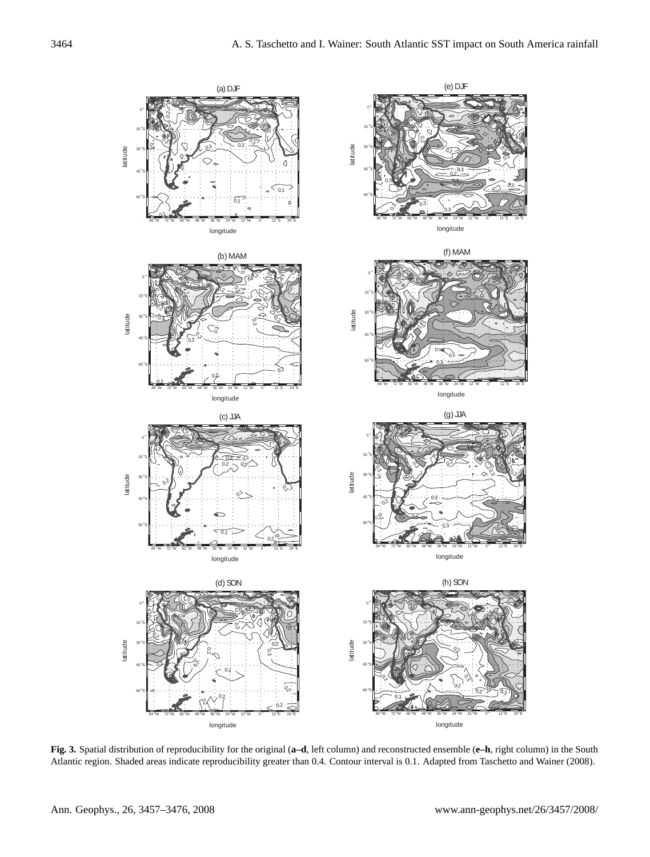

**Fig. 3.** Spatial distribution of reproducibility for the original (**a–d**, left column) and reconstructed ensemble (**e–h**, right column) in the South Atlantic region. Shaded areas indicate reproducibility greater than 0.4. Contour interval is 0.1. Adapted from Taschetto and Wainer (2008).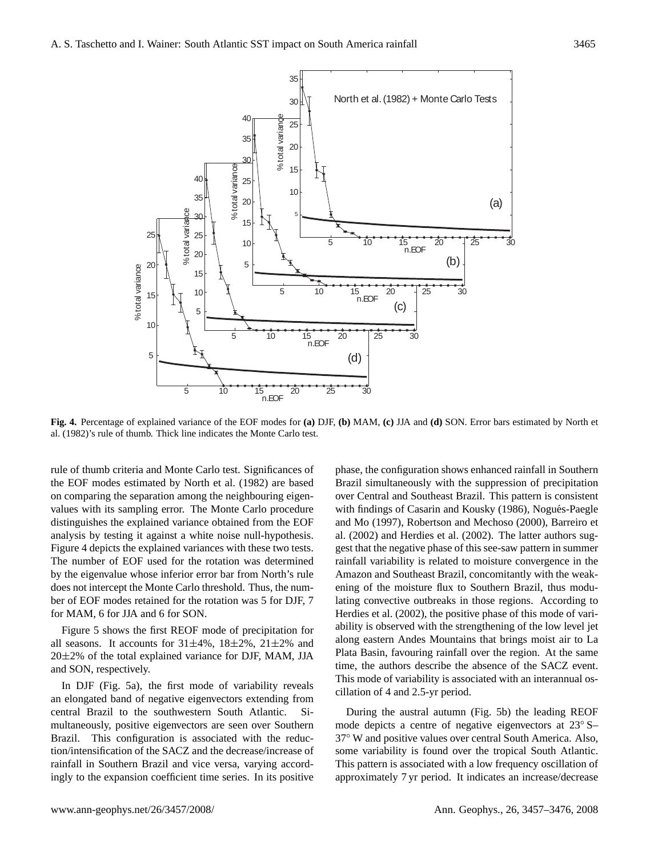

**Fig. 4.** Percentage of explained variance of the EOF modes for **(a)** DJF, **(b)** MAM, **(c)** JJA and **(d)** SON. Error bars estimated by North et al. (1982)'s rule of thumb. Thick line indicates the Monte Carlo test.

rule of thumb criteria and Monte Carlo test. Significances of the EOF modes estimated by North et al. (1982) are based on comparing the separation among the neighbouring eigenvalues with its sampling error. The Monte Carlo procedure distinguishes the explained variance obtained from the EOF analysis by testing it against a white noise null-hypothesis. Figure 4 depicts the explained variances with these two tests. The number of EOF used for the rotation was determined by the eigenvalue whose inferior error bar from North's rule does not intercept the Monte Carlo threshold. Thus, the number of EOF modes retained for the rotation was 5 for DJF, 7 for MAM, 6 for JJA and 6 for SON.

Figure 5 shows the first REOF mode of precipitation for all seasons. It accounts for  $31\pm4\%$ ,  $18\pm2\%$ ,  $21\pm2\%$  and  $20\pm2\%$  of the total explained variance for DJF, MAM, JJA and SON, respectively.

In DJF (Fig. 5a), the first mode of variability reveals an elongated band of negative eigenvectors extending from central Brazil to the southwestern South Atlantic. Simultaneously, positive eigenvectors are seen over Southern Brazil. This configuration is associated with the reduction/intensification of the SACZ and the decrease/increase of rainfall in Southern Brazil and vice versa, varying accordingly to the expansion coefficient time series. In its positive phase, the configuration shows enhanced rainfall in Southern Brazil simultaneously with the suppression of precipitation over Central and Southeast Brazil. This pattern is consistent with findings of Casarin and Kousky (1986), Nogués-Paegle and Mo (1997), Robertson and Mechoso (2000), Barreiro et al. (2002) and Herdies et al. (2002). The latter authors suggest that the negative phase of this see-saw pattern in summer rainfall variability is related to moisture convergence in the Amazon and Southeast Brazil, concomitantly with the weakening of the moisture flux to Southern Brazil, thus modulating convective outbreaks in those regions. According to Herdies et al. (2002), the positive phase of this mode of variability is observed with the strengthening of the low level jet along eastern Andes Mountains that brings moist air to La Plata Basin, favouring rainfall over the region. At the same time, the authors describe the absence of the SACZ event. This mode of variability is associated with an interannual oscillation of 4 and 2.5-yr period.

During the austral autumn (Fig. 5b) the leading REOF mode depicts a centre of negative eigenvectors at 23◦ S– 37◦ W and positive values over central South America. Also, some variability is found over the tropical South Atlantic. This pattern is associated with a low frequency oscillation of approximately 7 yr period. It indicates an increase/decrease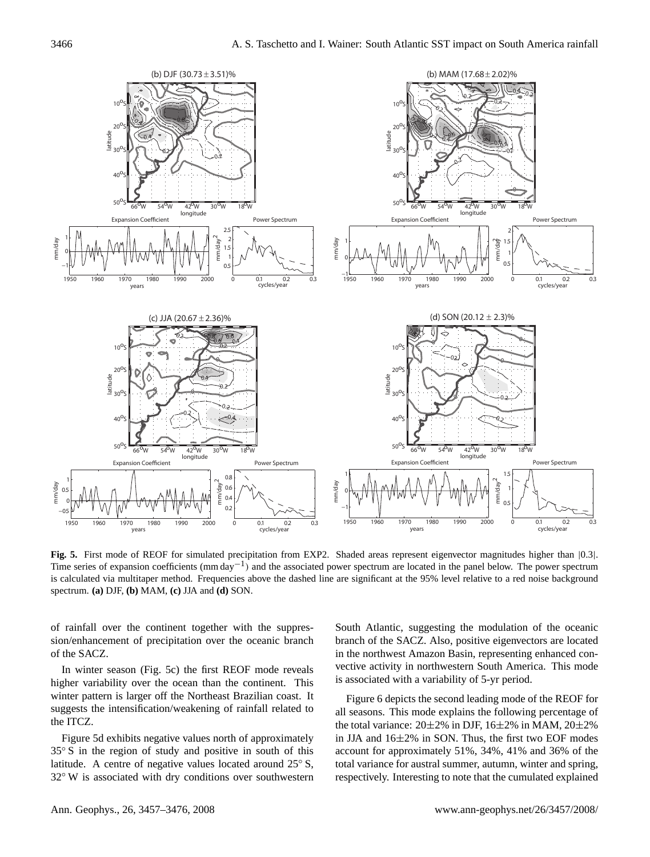

**Fig. 5.** First mode of REOF for simulated precipitation from EXP2. Shaded areas represent eigenvector magnitudes higher than |0.3|. Time series of expansion coefficients (mm day<sup>-1</sup>) and the associated power spectrum are located in the panel below. The power spectrum is calculated via multitaper method. Frequencies above the dashed line are significant at the 95% level relative to a red noise background spectrum. **(a)** DJF, **(b)** MAM, **(c)** JJA and **(d)** SON.

of rainfall over the continent together with the suppression/enhancement of precipitation over the oceanic branch of the SACZ.

In winter season (Fig. 5c) the first REOF mode reveals higher variability over the ocean than the continent. This winter pattern is larger off the Northeast Brazilian coast. It suggests the intensification/weakening of rainfall related to the ITCZ.

Figure 5d exhibits negative values north of approximately 35◦ S in the region of study and positive in south of this latitude. A centre of negative values located around 25◦ S, 32◦ W is associated with dry conditions over southwestern

South Atlantic, suggesting the modulation of the oceanic branch of the SACZ. Also, positive eigenvectors are located in the northwest Amazon Basin, representing enhanced convective activity in northwestern South America. This mode is associated with a variability of 5-yr period.

Figure 6 depicts the second leading mode of the REOF for all seasons. This mode explains the following percentage of the total variance:  $20\pm2\%$  in DJF,  $16\pm2\%$  in MAM,  $20\pm2\%$ in JJA and 16±2% in SON. Thus, the first two EOF modes account for approximately 51%, 34%, 41% and 36% of the total variance for austral summer, autumn, winter and spring, respectively. Interesting to note that the cumulated explained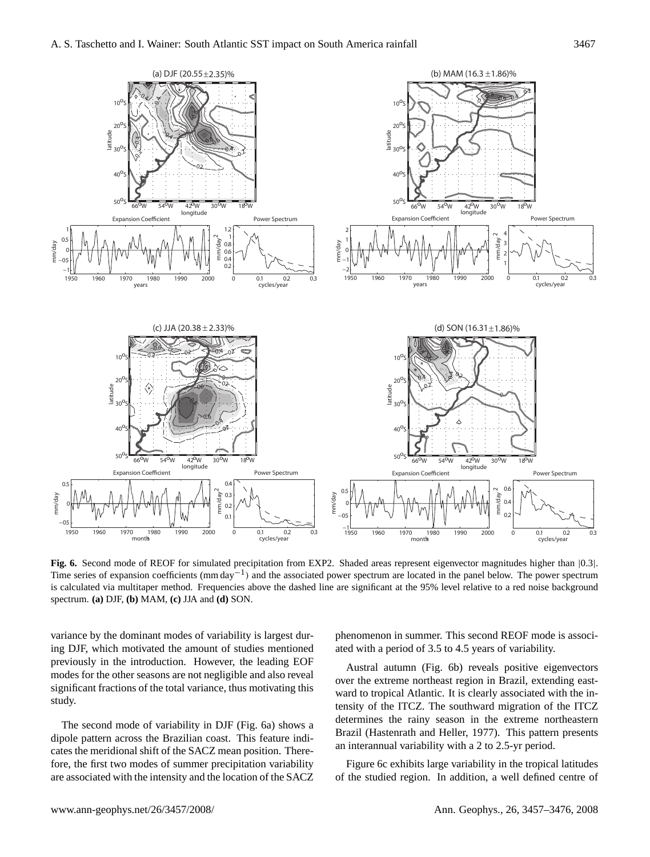

**Fig. 6.** Second mode of REOF for simulated precipitation from EXP2. Shaded areas represent eigenvector magnitudes higher than |0.3|. Time series of expansion coefficients (mm day<sup>-1</sup>) and the associated power spectrum are located in the panel below. The power spectrum is calculated via multitaper method. Frequencies above the dashed line are significant at the 95% level relative to a red noise background spectrum. **(a)** DJF, **(b)** MAM, **(c)** JJA and **(d)** SON.

variance by the dominant modes of variability is largest during DJF, which motivated the amount of studies mentioned previously in the introduction. However, the leading EOF modes for the other seasons are not negligible and also reveal significant fractions of the total variance, thus motivating this study.

The second mode of variability in DJF (Fig. 6a) shows a dipole pattern across the Brazilian coast. This feature indicates the meridional shift of the SACZ mean position. Therefore, the first two modes of summer precipitation variability are associated with the intensity and the location of the SACZ phenomenon in summer. This second REOF mode is associated with a period of 3.5 to 4.5 years of variability.

Austral autumn (Fig. 6b) reveals positive eigenvectors over the extreme northeast region in Brazil, extending eastward to tropical Atlantic. It is clearly associated with the intensity of the ITCZ. The southward migration of the ITCZ determines the rainy season in the extreme northeastern Brazil (Hastenrath and Heller, 1977). This pattern presents an interannual variability with a 2 to 2.5-yr period.

Figure 6c exhibits large variability in the tropical latitudes of the studied region. In addition, a well defined centre of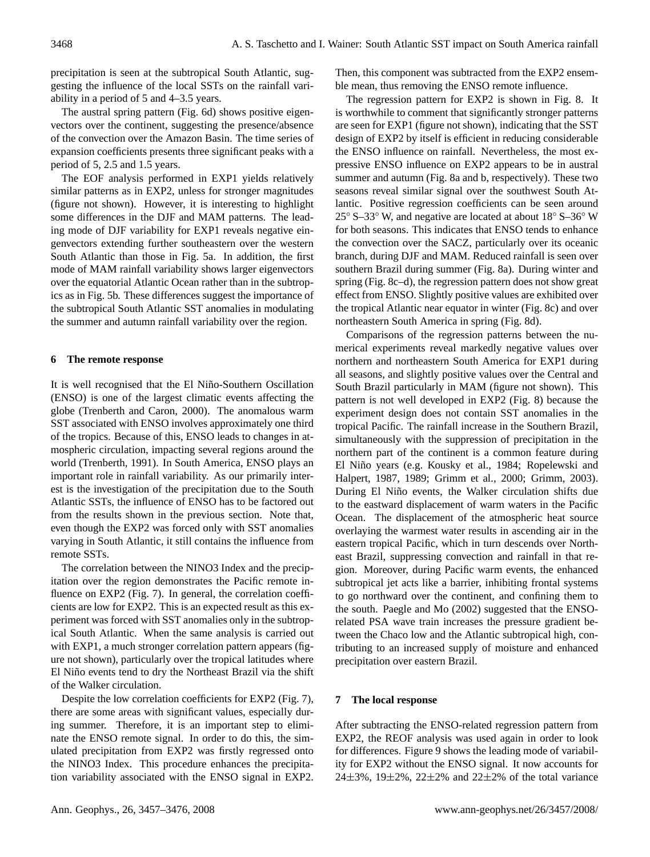precipitation is seen at the subtropical South Atlantic, suggesting the influence of the local SSTs on the rainfall variability in a period of 5 and 4–3.5 years.

The austral spring pattern (Fig. 6d) shows positive eigenvectors over the continent, suggesting the presence/absence of the convection over the Amazon Basin. The time series of expansion coefficients presents three significant peaks with a period of 5, 2.5 and 1.5 years.

The EOF analysis performed in EXP1 yields relatively similar patterns as in EXP2, unless for stronger magnitudes (figure not shown). However, it is interesting to highlight some differences in the DJF and MAM patterns. The leading mode of DJF variability for EXP1 reveals negative eingenvectors extending further southeastern over the western South Atlantic than those in Fig. 5a. In addition, the first mode of MAM rainfall variability shows larger eigenvectors over the equatorial Atlantic Ocean rather than in the subtropics as in Fig. 5b. These differences suggest the importance of the subtropical South Atlantic SST anomalies in modulating the summer and autumn rainfall variability over the region.

# **6 The remote response**

It is well recognised that the El Niño-Southern Oscillation (ENSO) is one of the largest climatic events affecting the globe (Trenberth and Caron, 2000). The anomalous warm SST associated with ENSO involves approximately one third of the tropics. Because of this, ENSO leads to changes in atmospheric circulation, impacting several regions around the world (Trenberth, 1991). In South America, ENSO plays an important role in rainfall variability. As our primarily interest is the investigation of the precipitation due to the South Atlantic SSTs, the influence of ENSO has to be factored out from the results shown in the previous section. Note that, even though the EXP2 was forced only with SST anomalies varying in South Atlantic, it still contains the influence from remote SSTs.

The correlation between the NINO3 Index and the precipitation over the region demonstrates the Pacific remote influence on EXP2 (Fig. 7). In general, the correlation coefficients are low for EXP2. This is an expected result as this experiment was forced with SST anomalies only in the subtropical South Atlantic. When the same analysis is carried out with EXP1, a much stronger correlation pattern appears (figure not shown), particularly over the tropical latitudes where El Niño events tend to dry the Northeast Brazil via the shift of the Walker circulation.

Despite the low correlation coefficients for EXP2 (Fig. 7), there are some areas with significant values, especially during summer. Therefore, it is an important step to eliminate the ENSO remote signal. In order to do this, the simulated precipitation from EXP2 was firstly regressed onto the NINO3 Index. This procedure enhances the precipitation variability associated with the ENSO signal in EXP2. Then, this component was subtracted from the EXP2 ensemble mean, thus removing the ENSO remote influence.

The regression pattern for EXP2 is shown in Fig. 8. It is worthwhile to comment that significantly stronger patterns are seen for EXP1 (figure not shown), indicating that the SST design of EXP2 by itself is efficient in reducing considerable the ENSO influence on rainfall. Nevertheless, the most expressive ENSO influence on EXP2 appears to be in austral summer and autumn (Fig. 8a and b, respectively). These two seasons reveal similar signal over the southwest South Atlantic. Positive regression coefficients can be seen around 25◦ S–33◦ W, and negative are located at about 18◦ S–36◦ W for both seasons. This indicates that ENSO tends to enhance the convection over the SACZ, particularly over its oceanic branch, during DJF and MAM. Reduced rainfall is seen over southern Brazil during summer (Fig. 8a). During winter and spring (Fig. 8c–d), the regression pattern does not show great effect from ENSO. Slightly positive values are exhibited over the tropical Atlantic near equator in winter (Fig. 8c) and over northeastern South America in spring (Fig. 8d).

Comparisons of the regression patterns between the numerical experiments reveal markedly negative values over northern and northeastern South America for EXP1 during all seasons, and slightly positive values over the Central and South Brazil particularly in MAM (figure not shown). This pattern is not well developed in EXP2 (Fig. 8) because the experiment design does not contain SST anomalies in the tropical Pacific. The rainfall increase in the Southern Brazil, simultaneously with the suppression of precipitation in the northern part of the continent is a common feature during El Niño years (e.g. Kousky et al., 1984; Ropelewski and Halpert, 1987, 1989; Grimm et al., 2000; Grimm, 2003). During El Niño events, the Walker circulation shifts due to the eastward displacement of warm waters in the Pacific Ocean. The displacement of the atmospheric heat source overlaying the warmest water results in ascending air in the eastern tropical Pacific, which in turn descends over Northeast Brazil, suppressing convection and rainfall in that region. Moreover, during Pacific warm events, the enhanced subtropical jet acts like a barrier, inhibiting frontal systems to go northward over the continent, and confining them to the south. Paegle and Mo (2002) suggested that the ENSOrelated PSA wave train increases the pressure gradient between the Chaco low and the Atlantic subtropical high, contributing to an increased supply of moisture and enhanced precipitation over eastern Brazil.

## **7 The local response**

After subtracting the ENSO-related regression pattern from EXP2, the REOF analysis was used again in order to look for differences. Figure 9 shows the leading mode of variability for EXP2 without the ENSO signal. It now accounts for 24 $\pm$ 3%, 19 $\pm$ 2%, 22 $\pm$ 2% and 22 $\pm$ 2% of the total variance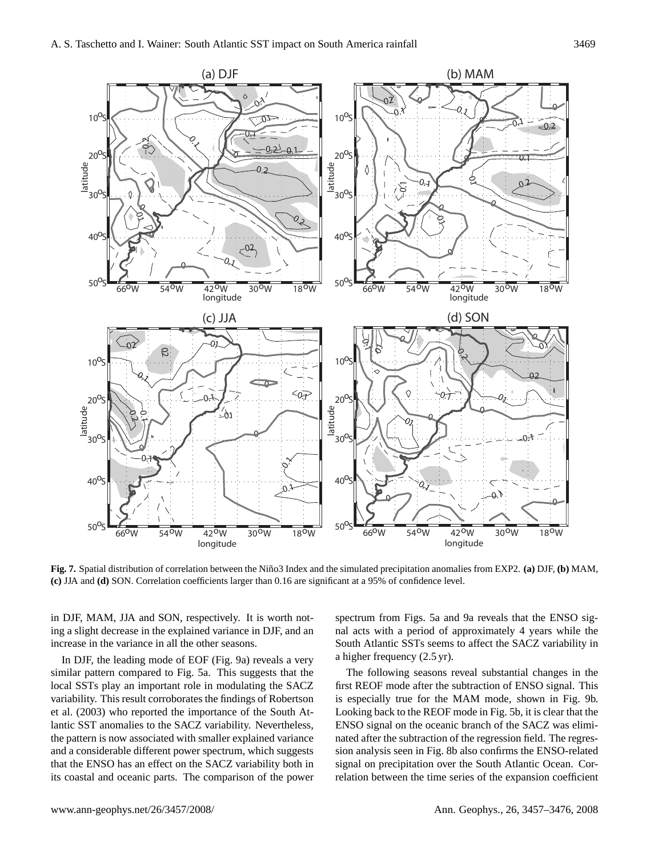

**Fig. 7.** Spatial distribution of correlation between the Nino3 Index and the simulated precipitation anomalies from EXP2. ˜ **(a)** DJF, **(b)** MAM, **(c)** JJA and **(d)** SON. Correlation coefficients larger than 0.16 are significant at a 95% of confidence level.

in DJF, MAM, JJA and SON, respectively. It is worth noting a slight decrease in the explained variance in DJF, and an increase in the variance in all the other seasons.

In DJF, the leading mode of EOF (Fig. 9a) reveals a very similar pattern compared to Fig. 5a. This suggests that the local SSTs play an important role in modulating the SACZ variability. This result corroborates the findings of Robertson et al. (2003) who reported the importance of the South Atlantic SST anomalies to the SACZ variability. Nevertheless, the pattern is now associated with smaller explained variance and a considerable different power spectrum, which suggests that the ENSO has an effect on the SACZ variability both in its coastal and oceanic parts. The comparison of the power spectrum from Figs. 5a and 9a reveals that the ENSO signal acts with a period of approximately 4 years while the South Atlantic SSTs seems to affect the SACZ variability in a higher frequency (2.5 yr).

The following seasons reveal substantial changes in the first REOF mode after the subtraction of ENSO signal. This is especially true for the MAM mode, shown in Fig. 9b. Looking back to the REOF mode in Fig. 5b, it is clear that the ENSO signal on the oceanic branch of the SACZ was eliminated after the subtraction of the regression field. The regression analysis seen in Fig. 8b also confirms the ENSO-related signal on precipitation over the South Atlantic Ocean. Correlation between the time series of the expansion coefficient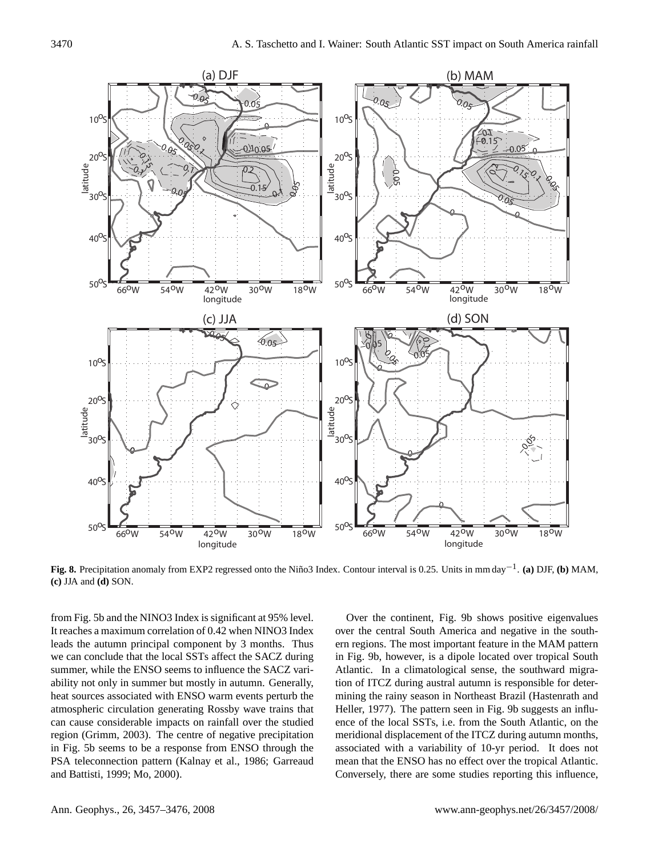

**Fig. 8.** Precipitation anomaly from EXP2 regressed onto the Niño3 Index. Contour interval is 0.25. Units in mm day<sup>-1</sup>. (a) DJF, (b) MAM, **(c)** JJA and **(d)** SON.

from Fig. 5b and the NINO3 Index is significant at 95% level. It reaches a maximum correlation of 0.42 when NINO3 Index leads the autumn principal component by 3 months. Thus we can conclude that the local SSTs affect the SACZ during summer, while the ENSO seems to influence the SACZ variability not only in summer but mostly in autumn. Generally, heat sources associated with ENSO warm events perturb the atmospheric circulation generating Rossby wave trains that can cause considerable impacts on rainfall over the studied region (Grimm, 2003). The centre of negative precipitation in Fig. 5b seems to be a response from ENSO through the PSA teleconnection pattern (Kalnay et al., 1986; Garreaud and Battisti, 1999; Mo, 2000).

Over the continent, Fig. 9b shows positive eigenvalues over the central South America and negative in the southern regions. The most important feature in the MAM pattern in Fig. 9b, however, is a dipole located over tropical South Atlantic. In a climatological sense, the southward migration of ITCZ during austral autumn is responsible for determining the rainy season in Northeast Brazil (Hastenrath and Heller, 1977). The pattern seen in Fig. 9b suggests an influence of the local SSTs, i.e. from the South Atlantic, on the meridional displacement of the ITCZ during autumn months, associated with a variability of 10-yr period. It does not mean that the ENSO has no effect over the tropical Atlantic. Conversely, there are some studies reporting this influence,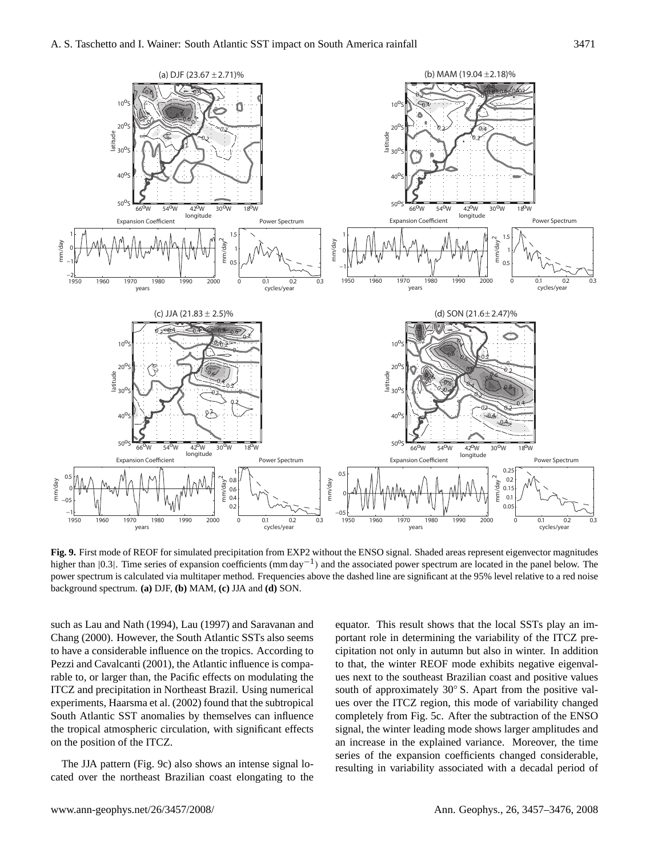

**Fig. 9.** First mode of REOF for simulated precipitation from EXP2 without the ENSO signal. Shaded areas represent eigenvector magnitudes higher than |0.3|. Time series of expansion coefficients (mm day<sup>-1</sup>) and the associated power spectrum are located in the panel below. The power spectrum is calculated via multitaper method. Frequencies above the dashed line are significant at the 95% level relative to a red noise background spectrum. **(a)** DJF, **(b)** MAM, **(c)** JJA and **(d)** SON.

such as Lau and Nath (1994), Lau (1997) and Saravanan and Chang (2000). However, the South Atlantic SSTs also seems to have a considerable influence on the tropics. According to Pezzi and Cavalcanti (2001), the Atlantic influence is comparable to, or larger than, the Pacific effects on modulating the ITCZ and precipitation in Northeast Brazil. Using numerical experiments, Haarsma et al. (2002) found that the subtropical South Atlantic SST anomalies by themselves can influence the tropical atmospheric circulation, with significant effects on the position of the ITCZ.

The JJA pattern (Fig. 9c) also shows an intense signal located over the northeast Brazilian coast elongating to the equator. This result shows that the local SSTs play an important role in determining the variability of the ITCZ precipitation not only in autumn but also in winter. In addition to that, the winter REOF mode exhibits negative eigenvalues next to the southeast Brazilian coast and positive values south of approximately 30° S. Apart from the positive values over the ITCZ region, this mode of variability changed completely from Fig. 5c. After the subtraction of the ENSO signal, the winter leading mode shows larger amplitudes and an increase in the explained variance. Moreover, the time series of the expansion coefficients changed considerable, resulting in variability associated with a decadal period of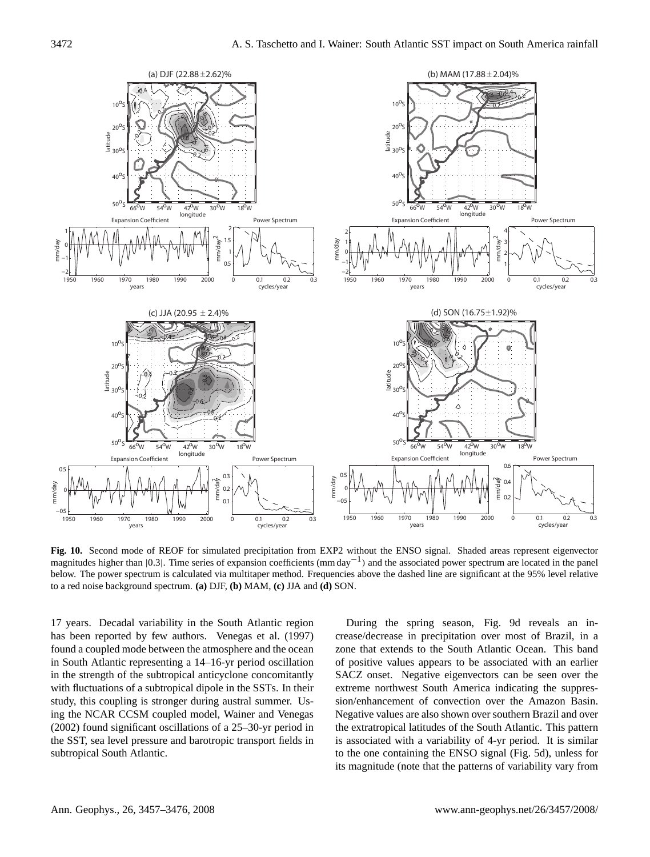

**Fig. 10.** Second mode of REOF for simulated precipitation from EXP2 without the ENSO signal. Shaded areas represent eigenvector magnitudes higher than |0.3|. Time series of expansion coefficients (mm day<sup>-1</sup>) and the associated power spectrum are located in the panel below. The power spectrum is calculated via multitaper method. Frequencies above the dashed line are significant at the 95% level relative to a red noise background spectrum. **(a)** DJF, **(b)** MAM, **(c)** JJA and **(d)** SON.

17 years. Decadal variability in the South Atlantic region has been reported by few authors. Venegas et al. (1997) found a coupled mode between the atmosphere and the ocean in South Atlantic representing a 14–16-yr period oscillation in the strength of the subtropical anticyclone concomitantly with fluctuations of a subtropical dipole in the SSTs. In their study, this coupling is stronger during austral summer. Using the NCAR CCSM coupled model, Wainer and Venegas (2002) found significant oscillations of a 25–30-yr period in the SST, sea level pressure and barotropic transport fields in subtropical South Atlantic.

During the spring season, Fig. 9d reveals an increase/decrease in precipitation over most of Brazil, in a zone that extends to the South Atlantic Ocean. This band of positive values appears to be associated with an earlier SACZ onset. Negative eigenvectors can be seen over the extreme northwest South America indicating the suppression/enhancement of convection over the Amazon Basin. Negative values are also shown over southern Brazil and over the extratropical latitudes of the South Atlantic. This pattern is associated with a variability of 4-yr period. It is similar to the one containing the ENSO signal (Fig. 5d), unless for its magnitude (note that the patterns of variability vary from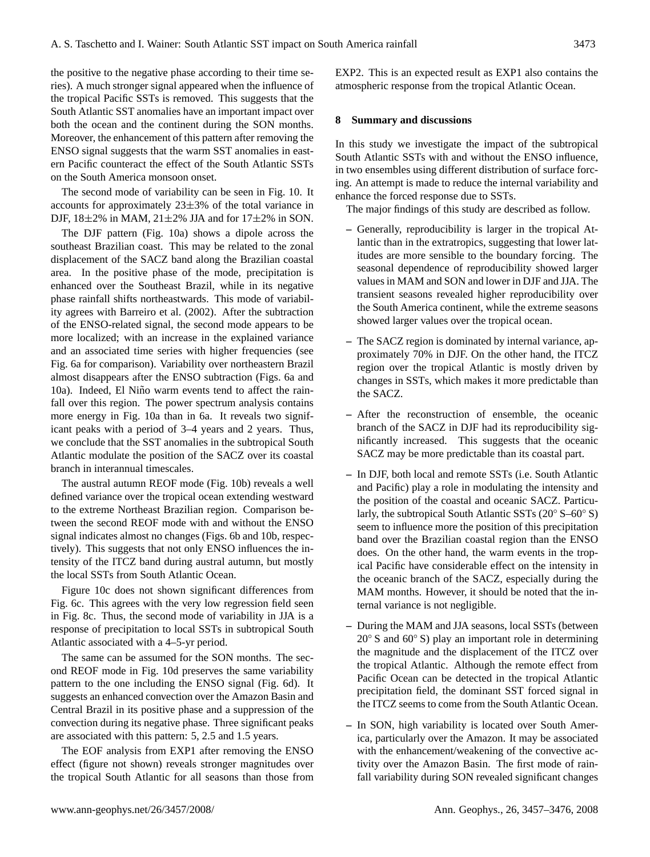the positive to the negative phase according to their time series). A much stronger signal appeared when the influence of the tropical Pacific SSTs is removed. This suggests that the South Atlantic SST anomalies have an important impact over both the ocean and the continent during the SON months. Moreover, the enhancement of this pattern after removing the ENSO signal suggests that the warm SST anomalies in eastern Pacific counteract the effect of the South Atlantic SSTs on the South America monsoon onset.

The second mode of variability can be seen in Fig. 10. It accounts for approximately 23±3% of the total variance in DJF,  $18\pm2\%$  in MAM,  $21\pm2\%$  JJA and for  $17\pm2\%$  in SON.

The DJF pattern (Fig. 10a) shows a dipole across the southeast Brazilian coast. This may be related to the zonal displacement of the SACZ band along the Brazilian coastal area. In the positive phase of the mode, precipitation is enhanced over the Southeast Brazil, while in its negative phase rainfall shifts northeastwards. This mode of variability agrees with Barreiro et al. (2002). After the subtraction of the ENSO-related signal, the second mode appears to be more localized; with an increase in the explained variance and an associated time series with higher frequencies (see Fig. 6a for comparison). Variability over northeastern Brazil almost disappears after the ENSO subtraction (Figs. 6a and 10a). Indeed, El Niño warm events tend to affect the rainfall over this region. The power spectrum analysis contains more energy in Fig. 10a than in 6a. It reveals two significant peaks with a period of 3–4 years and 2 years. Thus, we conclude that the SST anomalies in the subtropical South Atlantic modulate the position of the SACZ over its coastal branch in interannual timescales.

The austral autumn REOF mode (Fig. 10b) reveals a well defined variance over the tropical ocean extending westward to the extreme Northeast Brazilian region. Comparison between the second REOF mode with and without the ENSO signal indicates almost no changes (Figs. 6b and 10b, respectively). This suggests that not only ENSO influences the intensity of the ITCZ band during austral autumn, but mostly the local SSTs from South Atlantic Ocean.

Figure 10c does not shown significant differences from Fig. 6c. This agrees with the very low regression field seen in Fig. 8c. Thus, the second mode of variability in JJA is a response of precipitation to local SSTs in subtropical South Atlantic associated with a 4–5-yr period.

The same can be assumed for the SON months. The second REOF mode in Fig. 10d preserves the same variability pattern to the one including the ENSO signal (Fig. 6d). It suggests an enhanced convection over the Amazon Basin and Central Brazil in its positive phase and a suppression of the convection during its negative phase. Three significant peaks are associated with this pattern: 5, 2.5 and 1.5 years.

The EOF analysis from EXP1 after removing the ENSO effect (figure not shown) reveals stronger magnitudes over the tropical South Atlantic for all seasons than those from EXP2. This is an expected result as EXP1 also contains the atmospheric response from the tropical Atlantic Ocean.

#### **8 Summary and discussions**

In this study we investigate the impact of the subtropical South Atlantic SSTs with and without the ENSO influence, in two ensembles using different distribution of surface forcing. An attempt is made to reduce the internal variability and enhance the forced response due to SSTs.

The major findings of this study are described as follow.

- **–** Generally, reproducibility is larger in the tropical Atlantic than in the extratropics, suggesting that lower latitudes are more sensible to the boundary forcing. The seasonal dependence of reproducibility showed larger values in MAM and SON and lower in DJF and JJA. The transient seasons revealed higher reproducibility over the South America continent, while the extreme seasons showed larger values over the tropical ocean.
- **–** The SACZ region is dominated by internal variance, approximately 70% in DJF. On the other hand, the ITCZ region over the tropical Atlantic is mostly driven by changes in SSTs, which makes it more predictable than the SACZ.
- **–** After the reconstruction of ensemble, the oceanic branch of the SACZ in DJF had its reproducibility significantly increased. This suggests that the oceanic SACZ may be more predictable than its coastal part.
- **–** In DJF, both local and remote SSTs (i.e. South Atlantic and Pacific) play a role in modulating the intensity and the position of the coastal and oceanic SACZ. Particularly, the subtropical South Atlantic SSTs (20◦ S–60◦ S) seem to influence more the position of this precipitation band over the Brazilian coastal region than the ENSO does. On the other hand, the warm events in the tropical Pacific have considerable effect on the intensity in the oceanic branch of the SACZ, especially during the MAM months. However, it should be noted that the internal variance is not negligible.
- **–** During the MAM and JJA seasons, local SSTs (between  $20°$  S and  $60°$  S) play an important role in determining the magnitude and the displacement of the ITCZ over the tropical Atlantic. Although the remote effect from Pacific Ocean can be detected in the tropical Atlantic precipitation field, the dominant SST forced signal in the ITCZ seems to come from the South Atlantic Ocean.
- **–** In SON, high variability is located over South America, particularly over the Amazon. It may be associated with the enhancement/weakening of the convective activity over the Amazon Basin. The first mode of rainfall variability during SON revealed significant changes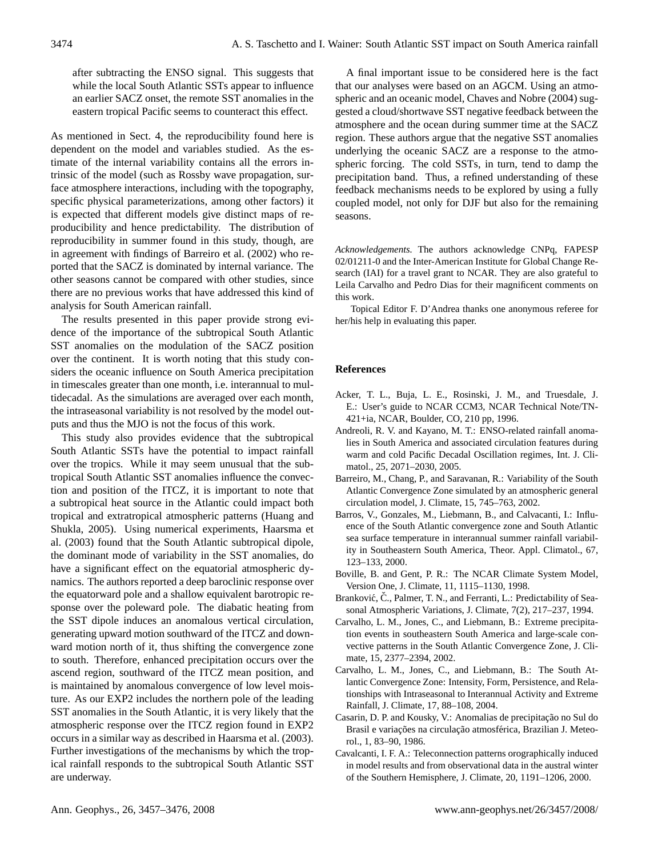after subtracting the ENSO signal. This suggests that while the local South Atlantic SSTs appear to influence an earlier SACZ onset, the remote SST anomalies in the eastern tropical Pacific seems to counteract this effect.

As mentioned in Sect. 4, the reproducibility found here is dependent on the model and variables studied. As the estimate of the internal variability contains all the errors intrinsic of the model (such as Rossby wave propagation, surface atmosphere interactions, including with the topography, specific physical parameterizations, among other factors) it is expected that different models give distinct maps of reproducibility and hence predictability. The distribution of reproducibility in summer found in this study, though, are in agreement with findings of Barreiro et al. (2002) who reported that the SACZ is dominated by internal variance. The other seasons cannot be compared with other studies, since there are no previous works that have addressed this kind of analysis for South American rainfall.

The results presented in this paper provide strong evidence of the importance of the subtropical South Atlantic SST anomalies on the modulation of the SACZ position over the continent. It is worth noting that this study considers the oceanic influence on South America precipitation in timescales greater than one month, i.e. interannual to multidecadal. As the simulations are averaged over each month, the intraseasonal variability is not resolved by the model outputs and thus the MJO is not the focus of this work.

This study also provides evidence that the subtropical South Atlantic SSTs have the potential to impact rainfall over the tropics. While it may seem unusual that the subtropical South Atlantic SST anomalies influence the convection and position of the ITCZ, it is important to note that a subtropical heat source in the Atlantic could impact both tropical and extratropical atmospheric patterns (Huang and Shukla, 2005). Using numerical experiments, Haarsma et al. (2003) found that the South Atlantic subtropical dipole, the dominant mode of variability in the SST anomalies, do have a significant effect on the equatorial atmospheric dynamics. The authors reported a deep baroclinic response over the equatorward pole and a shallow equivalent barotropic response over the poleward pole. The diabatic heating from the SST dipole induces an anomalous vertical circulation, generating upward motion southward of the ITCZ and downward motion north of it, thus shifting the convergence zone to south. Therefore, enhanced precipitation occurs over the ascend region, southward of the ITCZ mean position, and is maintained by anomalous convergence of low level moisture. As our EXP2 includes the northern pole of the leading SST anomalies in the South Atlantic, it is very likely that the atmospheric response over the ITCZ region found in EXP2 occurs in a similar way as described in Haarsma et al. (2003). Further investigations of the mechanisms by which the tropical rainfall responds to the subtropical South Atlantic SST are underway.

A final important issue to be considered here is the fact that our analyses were based on an AGCM. Using an atmospheric and an oceanic model, Chaves and Nobre (2004) suggested a cloud/shortwave SST negative feedback between the atmosphere and the ocean during summer time at the SACZ region. These authors argue that the negative SST anomalies underlying the oceanic SACZ are a response to the atmospheric forcing. The cold SSTs, in turn, tend to damp the precipitation band. Thus, a refined understanding of these feedback mechanisms needs to be explored by using a fully coupled model, not only for DJF but also for the remaining seasons.

*Acknowledgements.* The authors acknowledge CNPq, FAPESP 02/01211-0 and the Inter-American Institute for Global Change Research (IAI) for a travel grant to NCAR. They are also grateful to Leila Carvalho and Pedro Dias for their magnificent comments on this work.

Topical Editor F. D'Andrea thanks one anonymous referee for her/his help in evaluating this paper.

# **References**

- Acker, T. L., Buja, L. E., Rosinski, J. M., and Truesdale, J. E.: User's guide to NCAR CCM3, NCAR Technical Note/TN-421+ia, NCAR, Boulder, CO, 210 pp, 1996.
- Andreoli, R. V. and Kayano, M. T.: ENSO-related rainfall anomalies in South America and associated circulation features during warm and cold Pacific Decadal Oscillation regimes, Int. J. Climatol., 25, 2071–2030, 2005.
- Barreiro, M., Chang, P., and Saravanan, R.: Variability of the South Atlantic Convergence Zone simulated by an atmospheric general circulation model, J. Climate, 15, 745–763, 2002.
- Barros, V., Gonzales, M., Liebmann, B., and Calvacanti, I.: Influence of the South Atlantic convergence zone and South Atlantic sea surface temperature in interannual summer rainfall variability in Southeastern South America, Theor. Appl. Climatol., 67, 123–133, 2000.
- Boville, B. and Gent, P. R.: The NCAR Climate System Model, Version One, J. Climate, 11, 1115–1130, 1998.
- Branković, Č., Palmer, T. N., and Ferranti, L.: Predictability of Seasonal Atmospheric Variations, J. Climate, 7(2), 217–237, 1994.
- Carvalho, L. M., Jones, C., and Liebmann, B.: Extreme precipitation events in southeastern South America and large-scale convective patterns in the South Atlantic Convergence Zone, J. Climate, 15, 2377–2394, 2002.
- Carvalho, L. M., Jones, C., and Liebmann, B.: The South Atlantic Convergence Zone: Intensity, Form, Persistence, and Relationships with Intraseasonal to Interannual Activity and Extreme Rainfall, J. Climate, 17, 88–108, 2004.
- Casarin, D. P. and Kousky, V.: Anomalias de precipitação no Sul do Brasil e variações na circulação atmosférica, Brazilian J. Meteorol., 1, 83–90, 1986.
- Cavalcanti, I. F. A.: Teleconnection patterns orographically induced in model results and from observational data in the austral winter of the Southern Hemisphere, J. Climate, 20, 1191–1206, 2000.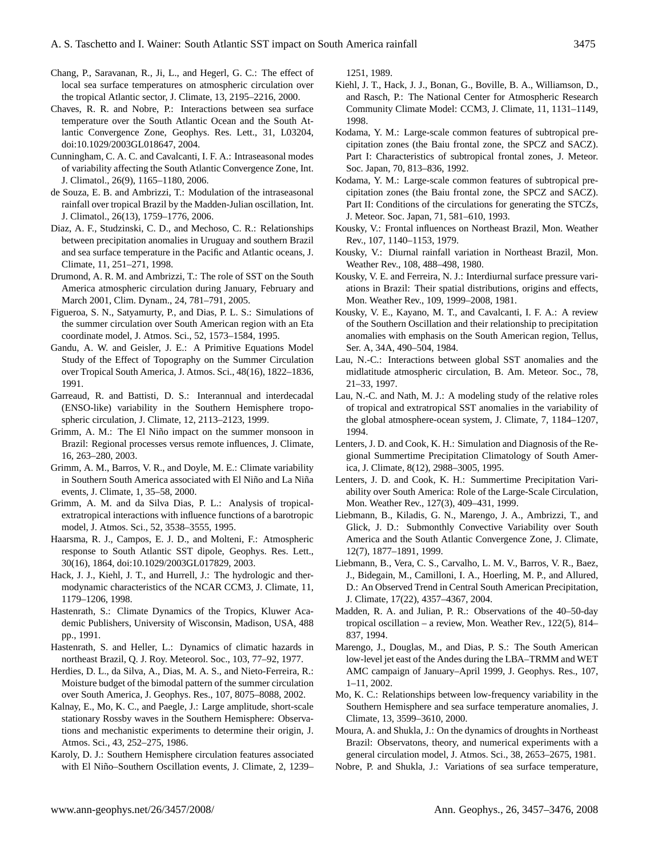- Chang, P., Saravanan, R., Ji, L., and Hegerl, G. C.: The effect of local sea surface temperatures on atmospheric circulation over the tropical Atlantic sector, J. Climate, 13, 2195–2216, 2000.
- Chaves, R. R. and Nobre, P.: Interactions between sea surface temperature over the South Atlantic Ocean and the South Atlantic Convergence Zone, Geophys. Res. Lett., 31, L03204, doi:10.1029/2003GL018647, 2004.
- Cunningham, C. A. C. and Cavalcanti, I. F. A.: Intraseasonal modes of variability affecting the South Atlantic Convergence Zone, Int. J. Climatol., 26(9), 1165–1180, 2006.
- de Souza, E. B. and Ambrizzi, T.: Modulation of the intraseasonal rainfall over tropical Brazil by the Madden-Julian oscillation, Int. J. Climatol., 26(13), 1759–1776, 2006.
- Diaz, A. F., Studzinski, C. D., and Mechoso, C. R.: Relationships between precipitation anomalies in Uruguay and southern Brazil and sea surface temperature in the Pacific and Atlantic oceans, J. Climate, 11, 251–271, 1998.
- Drumond, A. R. M. and Ambrizzi, T.: The role of SST on the South America atmospheric circulation during January, February and March 2001, Clim. Dynam., 24, 781–791, 2005.
- Figueroa, S. N., Satyamurty, P., and Dias, P. L. S.: Simulations of the summer circulation over South American region with an Eta coordinate model, J. Atmos. Sci., 52, 1573–1584, 1995.
- Gandu, A. W. and Geisler, J. E.: A Primitive Equations Model Study of the Effect of Topography on the Summer Circulation over Tropical South America, J. Atmos. Sci., 48(16), 1822–1836, 1991.
- Garreaud, R. and Battisti, D. S.: Interannual and interdecadal (ENSO-like) variability in the Southern Hemisphere tropospheric circulation, J. Climate, 12, 2113–2123, 1999.
- Grimm, A. M.: The El Niño impact on the summer monsoon in Brazil: Regional processes versus remote influences, J. Climate, 16, 263–280, 2003.
- Grimm, A. M., Barros, V. R., and Doyle, M. E.: Climate variability in Southern South America associated with El Niño and La Niña events, J. Climate, 1, 35–58, 2000.
- Grimm, A. M. and da Silva Dias, P. L.: Analysis of tropicalextratropical interactions with influence functions of a barotropic model, J. Atmos. Sci., 52, 3538–3555, 1995.
- Haarsma, R. J., Campos, E. J. D., and Molteni, F.: Atmospheric response to South Atlantic SST dipole, Geophys. Res. Lett., 30(16), 1864, doi:10.1029/2003GL017829, 2003.
- Hack, J. J., Kiehl, J. T., and Hurrell, J.: The hydrologic and thermodynamic characteristics of the NCAR CCM3, J. Climate, 11, 1179–1206, 1998.
- Hastenrath, S.: Climate Dynamics of the Tropics, Kluwer Academic Publishers, University of Wisconsin, Madison, USA, 488 pp., 1991.
- Hastenrath, S. and Heller, L.: Dynamics of climatic hazards in northeast Brazil, Q. J. Roy. Meteorol. Soc., 103, 77–92, 1977.
- Herdies, D. L., da Silva, A., Dias, M. A. S., and Nieto-Ferreira, R.: Moisture budget of the bimodal pattern of the summer circulation over South America, J. Geophys. Res., 107, 8075–8088, 2002.
- Kalnay, E., Mo, K. C., and Paegle, J.: Large amplitude, short-scale stationary Rossby waves in the Southern Hemisphere: Observations and mechanistic experiments to determine their origin, J. Atmos. Sci., 43, 252–275, 1986.
- Karoly, D. J.: Southern Hemisphere circulation features associated with El Niño–Southern Oscillation events, J. Climate, 2, 1239–

1251, 1989.

- Kiehl, J. T., Hack, J. J., Bonan, G., Boville, B. A., Williamson, D., and Rasch, P.: The National Center for Atmospheric Research Community Climate Model: CCM3, J. Climate, 11, 1131–1149, 1998.
- Kodama, Y. M.: Large-scale common features of subtropical precipitation zones (the Baiu frontal zone, the SPCZ and SACZ). Part I: Characteristics of subtropical frontal zones, J. Meteor. Soc. Japan, 70, 813–836, 1992.
- Kodama, Y. M.: Large-scale common features of subtropical precipitation zones (the Baiu frontal zone, the SPCZ and SACZ). Part II: Conditions of the circulations for generating the STCZs, J. Meteor. Soc. Japan, 71, 581–610, 1993.
- Kousky, V.: Frontal influences on Northeast Brazil, Mon. Weather Rev., 107, 1140–1153, 1979.
- Kousky, V.: Diurnal rainfall variation in Northeast Brazil, Mon. Weather Rev., 108, 488–498, 1980.
- Kousky, V. E. and Ferreira, N. J.: Interdiurnal surface pressure variations in Brazil: Their spatial distributions, origins and effects, Mon. Weather Rev., 109, 1999–2008, 1981.
- Kousky, V. E., Kayano, M. T., and Cavalcanti, I. F. A.: A review of the Southern Oscillation and their relationship to precipitation anomalies with emphasis on the South American region, Tellus, Ser. A, 34A, 490–504, 1984.
- Lau, N.-C.: Interactions between global SST anomalies and the midlatitude atmospheric circulation, B. Am. Meteor. Soc., 78, 21–33, 1997.
- Lau, N.-C. and Nath, M. J.: A modeling study of the relative roles of tropical and extratropical SST anomalies in the variability of the global atmosphere-ocean system, J. Climate, 7, 1184–1207, 1994.
- Lenters, J. D. and Cook, K. H.: Simulation and Diagnosis of the Regional Summertime Precipitation Climatology of South America, J. Climate, 8(12), 2988–3005, 1995.
- Lenters, J. D. and Cook, K. H.: Summertime Precipitation Variability over South America: Role of the Large-Scale Circulation, Mon. Weather Rev., 127(3), 409–431, 1999.
- Liebmann, B., Kiladis, G. N., Marengo, J. A., Ambrizzi, T., and Glick, J. D.: Submonthly Convective Variability over South America and the South Atlantic Convergence Zone, J. Climate, 12(7), 1877–1891, 1999.
- Liebmann, B., Vera, C. S., Carvalho, L. M. V., Barros, V. R., Baez, J., Bidegain, M., Camilloni, I. A., Hoerling, M. P., and Allured, D.: An Observed Trend in Central South American Precipitation, J. Climate, 17(22), 4357–4367, 2004.
- Madden, R. A. and Julian, P. R.: Observations of the 40–50-day tropical oscillation – a review, Mon. Weather Rev., 122(5), 814– 837, 1994.
- Marengo, J., Douglas, M., and Dias, P. S.: The South American low-level jet east of the Andes during the LBA–TRMM and WET AMC campaign of January–April 1999, J. Geophys. Res., 107, 1–11, 2002.
- Mo, K. C.: Relationships between low-frequency variability in the Southern Hemisphere and sea surface temperature anomalies, J. Climate, 13, 3599–3610, 2000.
- Moura, A. and Shukla, J.: On the dynamics of droughts in Northeast Brazil: Observatons, theory, and numerical experiments with a general circulation model, J. Atmos. Sci., 38, 2653–2675, 1981.
- Nobre, P. and Shukla, J.: Variations of sea surface temperature,